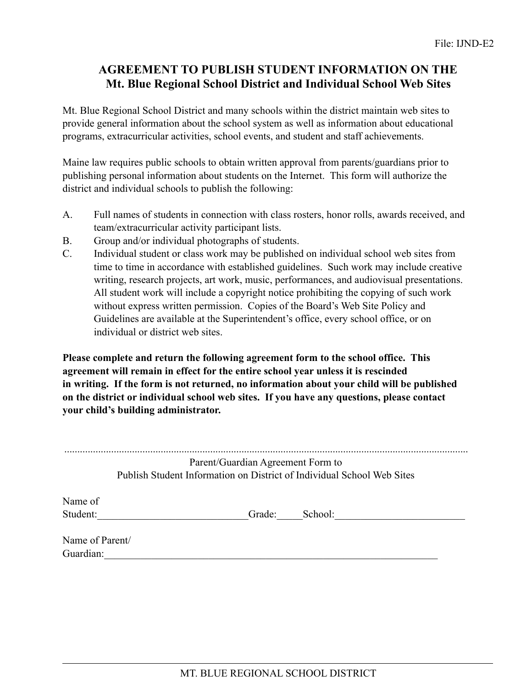## **AGREEMENT TO PUBLISH STUDENT INFORMATION ON THE Mt. Blue Regional School District and Individual School Web Sites**

Mt. Blue Regional School District and many schools within the district maintain web sites to provide general information about the school system as well as information about educational programs, extracurricular activities, school events, and student and staff achievements.

Maine law requires public schools to obtain written approval from parents/guardians prior to publishing personal information about students on the Internet. This form will authorize the district and individual schools to publish the following:

- A. Full names of students in connection with class rosters, honor rolls, awards received, and team/extracurricular activity participant lists.
- B. Group and/or individual photographs of students.
- C. Individual student or class work may be published on individual school web sites from time to time in accordance with established guidelines. Such work may include creative writing, research projects, art work, music, performances, and audiovisual presentations. All student work will include a copyright notice prohibiting the copying of such work without express written permission. Copies of the Board's Web Site Policy and Guidelines are available at the Superintendent's office, every school office, or on individual or district web sites.

**Please complete and return the following agreement form to the school office. This agreement will remain in effect for the entire school year unless it is rescinded in writing. If the form is not returned, no information about your child will be published on the district or individual school web sites. If you have any questions, please contact your child's building administrator.**

|                              | Parent/Guardian Agreement Form to<br>Publish Student Information on District of Individual School Web Sites |         |  |
|------------------------------|-------------------------------------------------------------------------------------------------------------|---------|--|
| Name of<br>Student:          | Grade:                                                                                                      | School: |  |
| Name of Parent/<br>Guardian: |                                                                                                             |         |  |